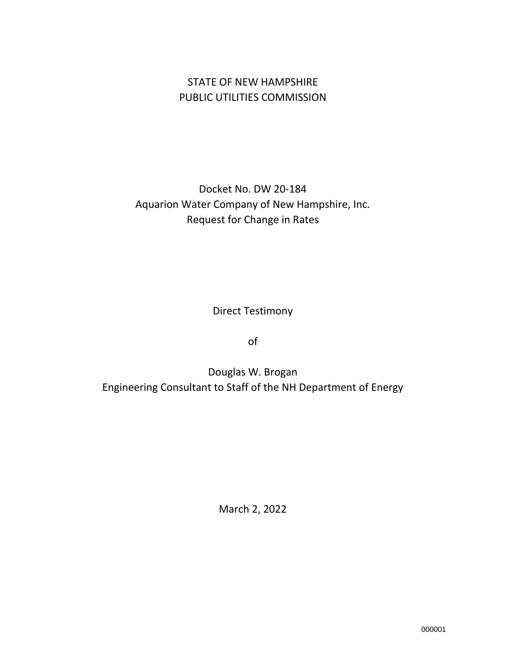## STATE OF NEW HAMPSHIRE PUBLIC UTILITIES COMMISSION

# Docket No. DW 20-184 Aquarion Water Company of New Hampshire, Inc. Request for Change in Rates

Direct Testimony

of

Douglas W. Brogan Engineering Consultant to Staff of the NH Department of Energy

March 2, 2022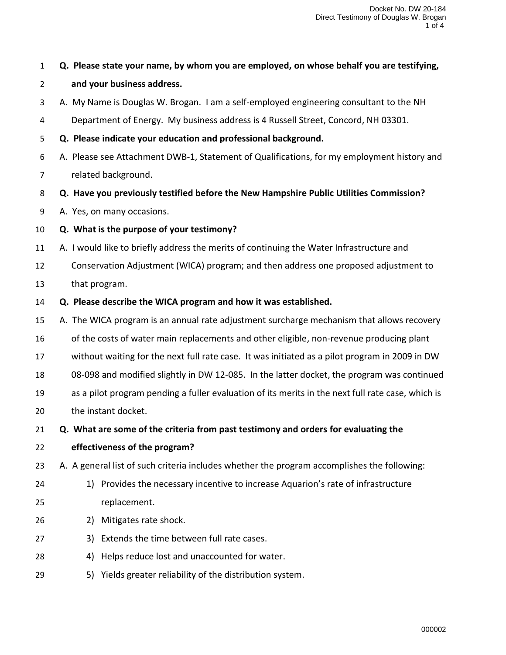## **Q. Please state your name, by whom you are employed, on whose behalf you are testifying,**

#### **and your business address.**

- A. My Name is Douglas W. Brogan. I am a self-employed engineering consultant to the NH
- Department of Energy. My business address is 4 Russell Street, Concord, NH 03301.
- **Q. Please indicate your education and professional background.**
- A. Please see Attachment DWB-1, Statement of Qualifications, for my employment history and
- related background.
- **Q. Have you previously testified before the New Hampshire Public Utilities Commission?**
- A. Yes, on many occasions.
- **Q. What is the purpose of your testimony?**
- A. I would like to briefly address the merits of continuing the Water Infrastructure and
- Conservation Adjustment (WICA) program; and then address one proposed adjustment to that program.
- **Q. Please describe the WICA program and how it was established.**
- A. The WICA program is an annual rate adjustment surcharge mechanism that allows recovery
- of the costs of water main replacements and other eligible, non-revenue producing plant
- without waiting for the next full rate case. It was initiated as a pilot program in 2009 in DW
- 08-098 and modified slightly in DW 12-085. In the latter docket, the program was continued
- as a pilot program pending a fuller evaluation of its merits in the next full rate case, which is the instant docket.
- **Q. What are some of the criteria from past testimony and orders for evaluating the**
- **effectiveness of the program?**
- A. A general list of such criteria includes whether the program accomplishes the following:
- 1) Provides the necessary incentive to increase Aquarion's rate of infrastructure replacement.
- 2) Mitigates rate shock.
- 3) Extends the time between full rate cases.
- 4) Helps reduce lost and unaccounted for water.
- 5) Yields greater reliability of the distribution system.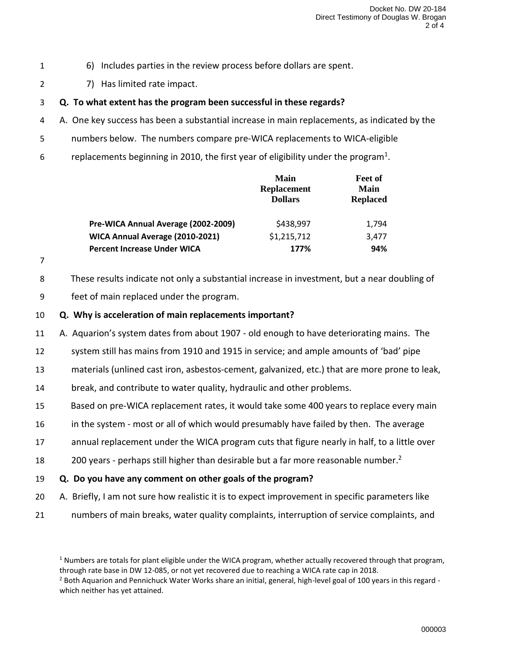- 1 6) Includes parties in the review process before dollars are spent.
- 2 7) Has limited rate impact.

#### 3 **Q. To what extent has the program been successful in these regards?**

- 4 A. One key success has been a substantial increase in main replacements, as indicated by the
- 5 numbers below. The numbers compare pre-WICA replacements to WICA-eligible
- 6 replacements beginning in 2010, the first year of eligibility under the program<sup>1</sup>.

|                                     | Main<br><b>Replacement</b><br><b>Dollars</b> | <b>Feet of</b><br>Main<br><b>Replaced</b> |
|-------------------------------------|----------------------------------------------|-------------------------------------------|
| Pre-WICA Annual Average (2002-2009) | \$438,997                                    | 1,794                                     |
| WICA Annual Average (2010-2021)     | \$1,215,712                                  | 3,477                                     |
| <b>Percent Increase Under WICA</b>  | 177%                                         | 94%                                       |

- 7
- 8 These results indicate not only a substantial increase in investment, but a near doubling of
- 9 feet of main replaced under the program.
- 10 **Q. Why is acceleration of main replacements important?**
- 11 A. Aquarion's system dates from about 1907 old enough to have deteriorating mains. The
- 12 system still has mains from 1910 and 1915 in service; and ample amounts of 'bad' pipe
- 13 materials (unlined cast iron, asbestos-cement, galvanized, etc.) that are more prone to leak,
- 14 break, and contribute to water quality, hydraulic and other problems.
- 15 Based on pre-WICA replacement rates, it would take some 400 years to replace every main
- 16 in the system most or all of which would presumably have failed by then. The average
- 17 annual replacement under the WICA program cuts that figure nearly in half, to a little over
- 18 200 years perhaps still higher than desirable but a far more reasonable number.<sup>2</sup>
- 19 **Q. Do you have any comment on other goals of the program?**
- 20 A. Briefly, I am not sure how realistic it is to expect improvement in specific parameters like
- 21 numbers of main breaks, water quality complaints, interruption of service complaints, and

 $1$  Numbers are totals for plant eligible under the WICA program, whether actually recovered through that program, through rate base in DW 12-085, or not yet recovered due to reaching a WICA rate cap in 2018.

<sup>&</sup>lt;sup>2</sup> Both Aquarion and Pennichuck Water Works share an initial, general, high-level goal of 100 years in this regard which neither has yet attained.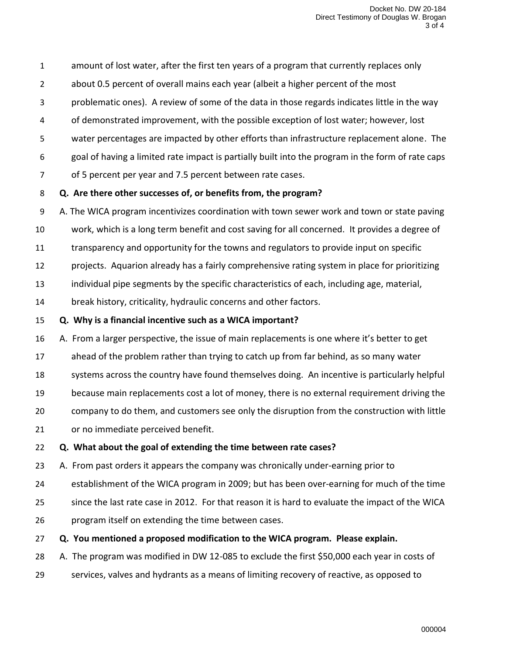amount of lost water, after the first ten years of a program that currently replaces only

- about 0.5 percent of overall mains each year (albeit a higher percent of the most
- problematic ones). A review of some of the data in those regards indicates little in the way
- of demonstrated improvement, with the possible exception of lost water; however, lost
- water percentages are impacted by other efforts than infrastructure replacement alone. The
- goal of having a limited rate impact is partially built into the program in the form of rate caps
- of 5 percent per year and 7.5 percent between rate cases.

## **Q. Are there other successes of, or benefits from, the program?**

- A. The WICA program incentivizes coordination with town sewer work and town or state paving
- work, which is a long term benefit and cost saving for all concerned. It provides a degree of
- transparency and opportunity for the towns and regulators to provide input on specific
- projects. Aquarion already has a fairly comprehensive rating system in place for prioritizing
- individual pipe segments by the specific characteristics of each, including age, material,
- break history, criticality, hydraulic concerns and other factors.

## **Q. Why is a financial incentive such as a WICA important?**

- A. From a larger perspective, the issue of main replacements is one where it's better to get
- ahead of the problem rather than trying to catch up from far behind, as so many water
- 18 systems across the country have found themselves doing. An incentive is particularly helpful
- because main replacements cost a lot of money, there is no external requirement driving the
- company to do them, and customers see only the disruption from the construction with little
- or no immediate perceived benefit.

## **Q. What about the goal of extending the time between rate cases?**

- A. From past orders it appears the company was chronically under-earning prior to
- establishment of the WICA program in 2009; but has been over-earning for much of the time
- since the last rate case in 2012. For that reason it is hard to evaluate the impact of the WICA
- program itself on extending the time between cases.
- **Q. You mentioned a proposed modification to the WICA program. Please explain.**
- A. The program was modified in DW 12-085 to exclude the first \$50,000 each year in costs of
- services, valves and hydrants as a means of limiting recovery of reactive, as opposed to